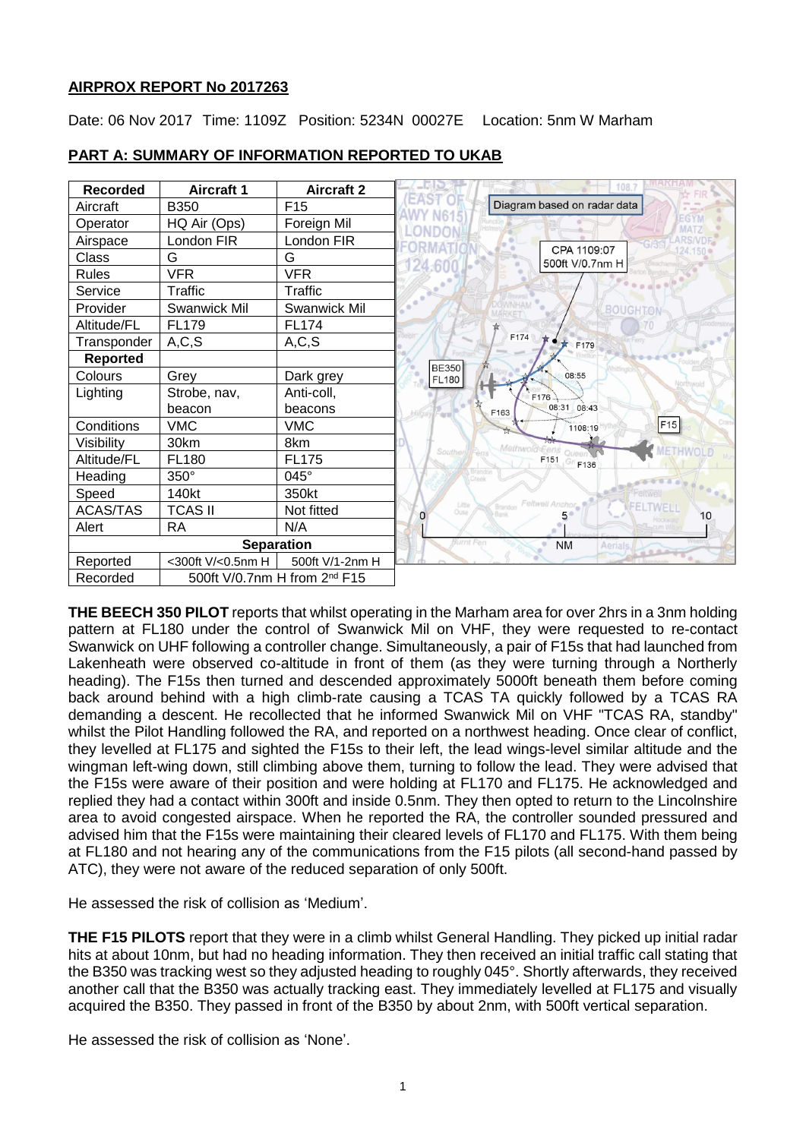# **AIRPROX REPORT No 2017263**

Date: 06 Nov 2017 Time: 1109Z Position: 5234N 00027E Location: 5nm W Marham



## **PART A: SUMMARY OF INFORMATION REPORTED TO UKAB**

**THE BEECH 350 PILOT** reports that whilst operating in the Marham area for over 2hrs in a 3nm holding pattern at FL180 under the control of Swanwick Mil on VHF, they were requested to re-contact Swanwick on UHF following a controller change. Simultaneously, a pair of F15s that had launched from Lakenheath were observed co-altitude in front of them (as they were turning through a Northerly heading). The F15s then turned and descended approximately 5000ft beneath them before coming back around behind with a high climb-rate causing a TCAS TA quickly followed by a TCAS RA demanding a descent. He recollected that he informed Swanwick Mil on VHF "TCAS RA, standby" whilst the Pilot Handling followed the RA, and reported on a northwest heading. Once clear of conflict, they levelled at FL175 and sighted the F15s to their left, the lead wings-level similar altitude and the wingman left-wing down, still climbing above them, turning to follow the lead. They were advised that the F15s were aware of their position and were holding at FL170 and FL175. He acknowledged and replied they had a contact within 300ft and inside 0.5nm. They then opted to return to the Lincolnshire area to avoid congested airspace. When he reported the RA, the controller sounded pressured and advised him that the F15s were maintaining their cleared levels of FL170 and FL175. With them being at FL180 and not hearing any of the communications from the F15 pilots (all second-hand passed by ATC), they were not aware of the reduced separation of only 500ft.

He assessed the risk of collision as 'Medium'.

**THE F15 PILOTS** report that they were in a climb whilst General Handling. They picked up initial radar hits at about 10nm, but had no heading information. They then received an initial traffic call stating that the B350 was tracking west so they adjusted heading to roughly 045°. Shortly afterwards, they received another call that the B350 was actually tracking east. They immediately levelled at FL175 and visually acquired the B350. They passed in front of the B350 by about 2nm, with 500ft vertical separation.

He assessed the risk of collision as 'None'.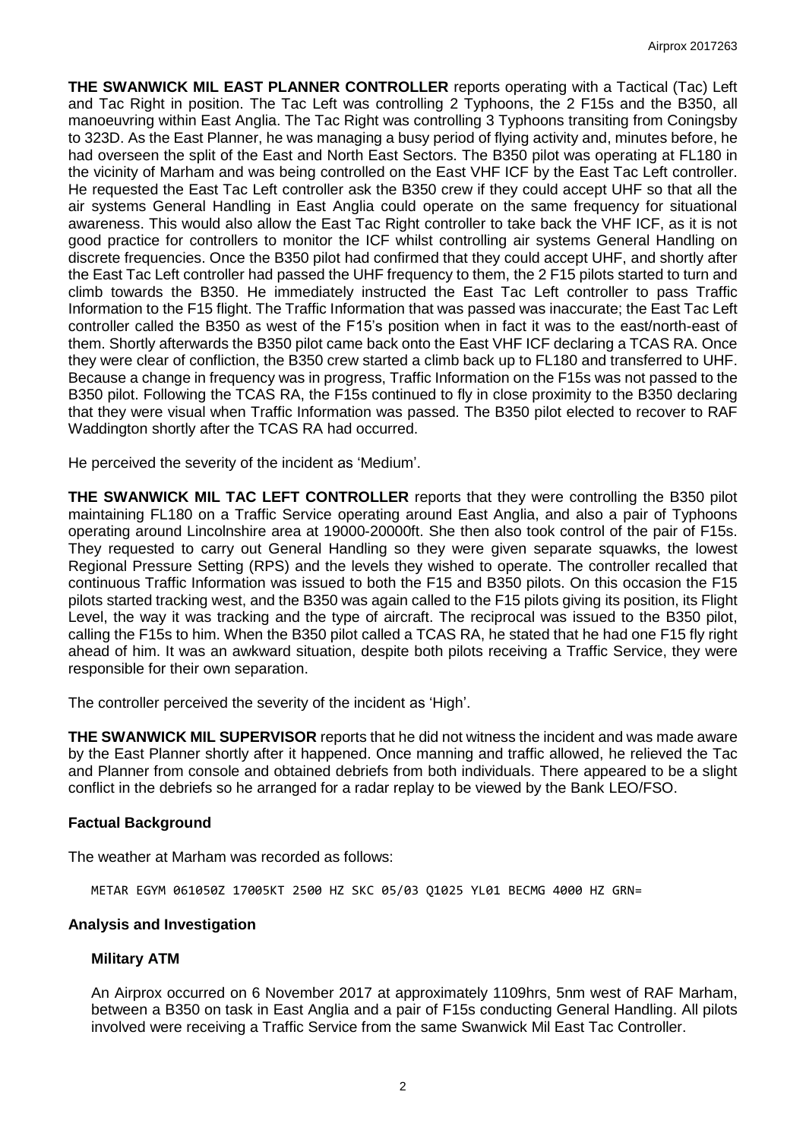**THE SWANWICK MIL EAST PLANNER CONTROLLER** reports operating with a Tactical (Tac) Left and Tac Right in position. The Tac Left was controlling 2 Typhoons, the 2 F15s and the B350, all manoeuvring within East Anglia. The Tac Right was controlling 3 Typhoons transiting from Coningsby to 323D. As the East Planner, he was managing a busy period of flying activity and, minutes before, he had overseen the split of the East and North East Sectors. The B350 pilot was operating at FL180 in the vicinity of Marham and was being controlled on the East VHF ICF by the East Tac Left controller. He requested the East Tac Left controller ask the B350 crew if they could accept UHF so that all the air systems General Handling in East Anglia could operate on the same frequency for situational awareness. This would also allow the East Tac Right controller to take back the VHF ICF, as it is not good practice for controllers to monitor the ICF whilst controlling air systems General Handling on discrete frequencies. Once the B350 pilot had confirmed that they could accept UHF, and shortly after the East Tac Left controller had passed the UHF frequency to them, the 2 F15 pilots started to turn and climb towards the B350. He immediately instructed the East Tac Left controller to pass Traffic Information to the F15 flight. The Traffic Information that was passed was inaccurate; the East Tac Left controller called the B350 as west of the F15's position when in fact it was to the east/north-east of them. Shortly afterwards the B350 pilot came back onto the East VHF ICF declaring a TCAS RA. Once they were clear of confliction, the B350 crew started a climb back up to FL180 and transferred to UHF. Because a change in frequency was in progress, Traffic Information on the F15s was not passed to the B350 pilot. Following the TCAS RA, the F15s continued to fly in close proximity to the B350 declaring that they were visual when Traffic Information was passed. The B350 pilot elected to recover to RAF Waddington shortly after the TCAS RA had occurred.

He perceived the severity of the incident as 'Medium'.

**THE SWANWICK MIL TAC LEFT CONTROLLER** reports that they were controlling the B350 pilot maintaining FL180 on a Traffic Service operating around East Anglia, and also a pair of Typhoons operating around Lincolnshire area at 19000-20000ft. She then also took control of the pair of F15s. They requested to carry out General Handling so they were given separate squawks, the lowest Regional Pressure Setting (RPS) and the levels they wished to operate. The controller recalled that continuous Traffic Information was issued to both the F15 and B350 pilots. On this occasion the F15 pilots started tracking west, and the B350 was again called to the F15 pilots giving its position, its Flight Level, the way it was tracking and the type of aircraft. The reciprocal was issued to the B350 pilot, calling the F15s to him. When the B350 pilot called a TCAS RA, he stated that he had one F15 fly right ahead of him. It was an awkward situation, despite both pilots receiving a Traffic Service, they were responsible for their own separation.

The controller perceived the severity of the incident as 'High'.

**THE SWANWICK MIL SUPERVISOR** reports that he did not witness the incident and was made aware by the East Planner shortly after it happened. Once manning and traffic allowed, he relieved the Tac and Planner from console and obtained debriefs from both individuals. There appeared to be a slight conflict in the debriefs so he arranged for a radar replay to be viewed by the Bank LEO/FSO.

## **Factual Background**

The weather at Marham was recorded as follows:

METAR EGYM 061050Z 17005KT 2500 HZ SKC 05/03 Q1025 YL01 BECMG 4000 HZ GRN=

## **Analysis and Investigation**

## **Military ATM**

An Airprox occurred on 6 November 2017 at approximately 1109hrs, 5nm west of RAF Marham, between a B350 on task in East Anglia and a pair of F15s conducting General Handling. All pilots involved were receiving a Traffic Service from the same Swanwick Mil East Tac Controller.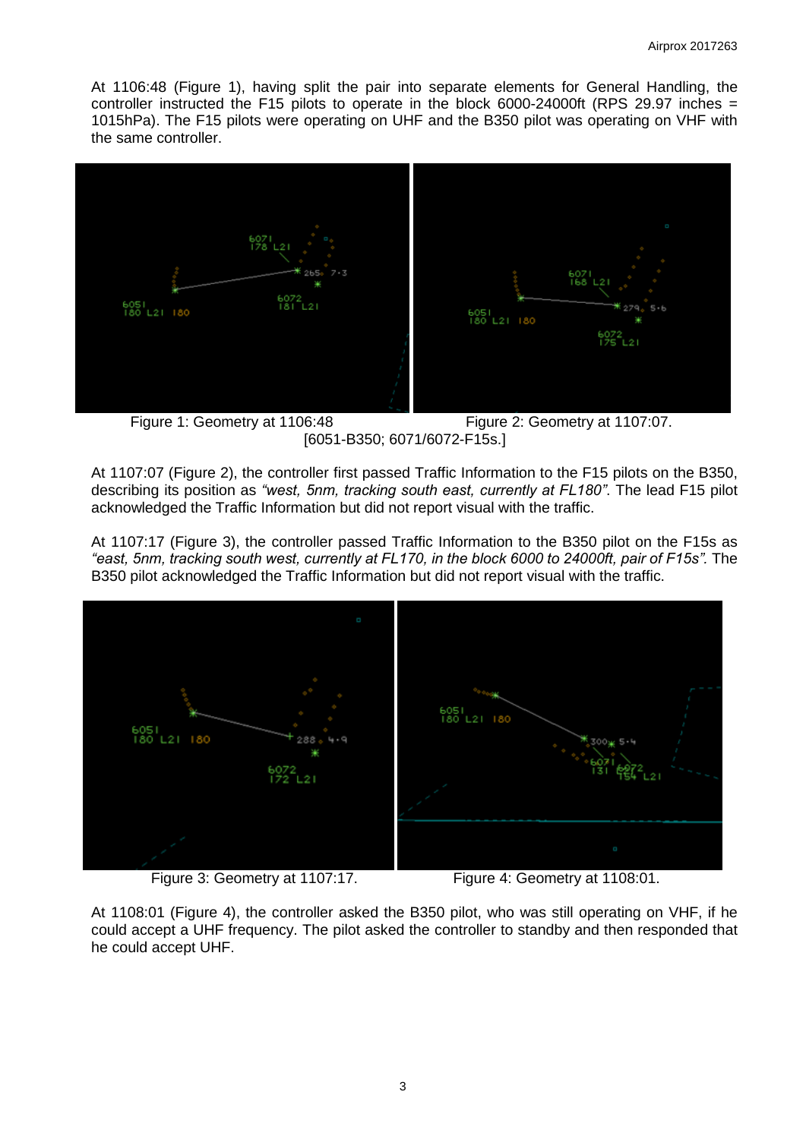At 1106:48 (Figure 1), having split the pair into separate elements for General Handling, the controller instructed the F15 pilots to operate in the block 6000-24000ft (RPS 29.97 inches = 1015hPa). The F15 pilots were operating on UHF and the B350 pilot was operating on VHF with the same controller.



Figure 1: Geometry at 1106:48 Figure 2: Geometry at 1107:07. [6051-B350; 6071/6072-F15s.]

At 1107:07 (Figure 2), the controller first passed Traffic Information to the F15 pilots on the B350, describing its position as *"west, 5nm, tracking south east, currently at FL180"*. The lead F15 pilot acknowledged the Traffic Information but did not report visual with the traffic.

At 1107:17 (Figure 3), the controller passed Traffic Information to the B350 pilot on the F15s as *"east, 5nm, tracking south west, currently at FL170, in the block 6000 to 24000ft, pair of F15s".* The B350 pilot acknowledged the Traffic Information but did not report visual with the traffic.



Figure 3: Geometry at 1107:17. Figure 4: Geometry at 1108:01.

At 1108:01 (Figure 4), the controller asked the B350 pilot, who was still operating on VHF, if he could accept a UHF frequency. The pilot asked the controller to standby and then responded that he could accept UHF.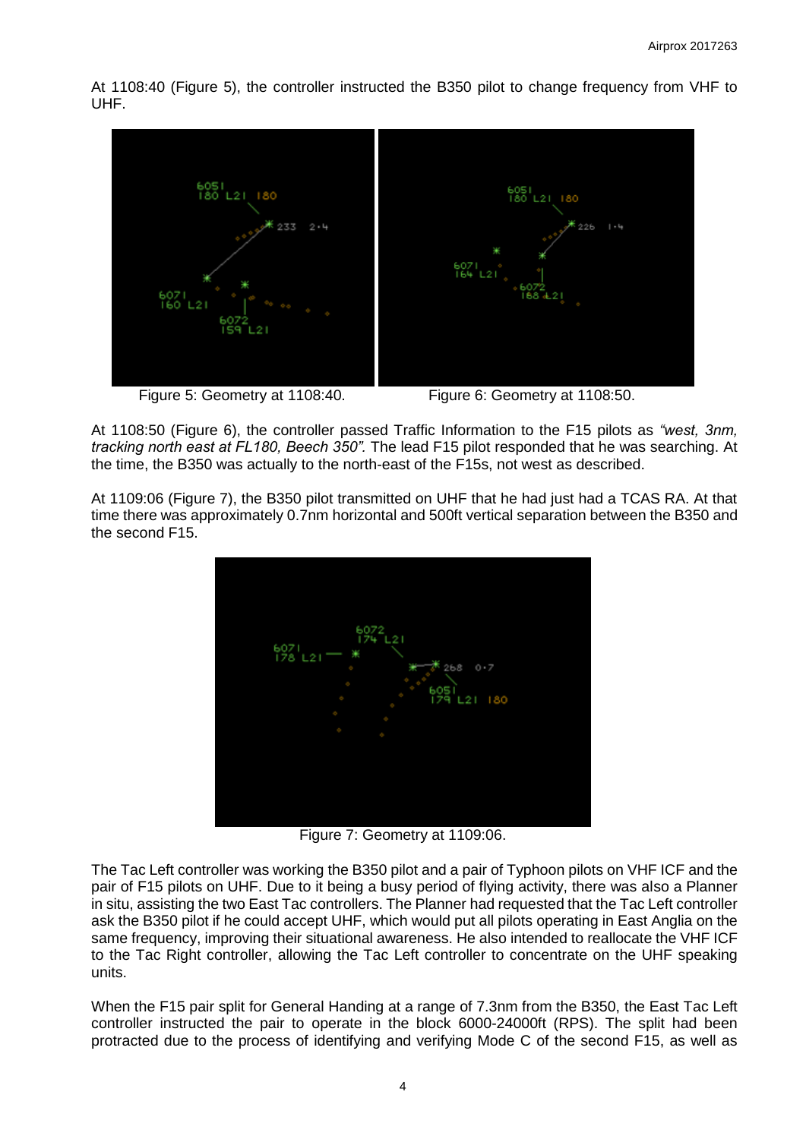At 1108:40 (Figure 5), the controller instructed the B350 pilot to change frequency from VHF to UHF.



Figure 5: Geometry at 1108:40.<br>
Figure 6: Geometry at 1108:50.

At 1108:50 (Figure 6), the controller passed Traffic Information to the F15 pilots as *"west, 3nm, tracking north east at FL180, Beech 350".* The lead F15 pilot responded that he was searching. At the time, the B350 was actually to the north-east of the F15s, not west as described.

At 1109:06 (Figure 7), the B350 pilot transmitted on UHF that he had just had a TCAS RA. At that time there was approximately 0.7nm horizontal and 500ft vertical separation between the B350 and the second F15.



Figure 7: Geometry at 1109:06.

The Tac Left controller was working the B350 pilot and a pair of Typhoon pilots on VHF ICF and the pair of F15 pilots on UHF. Due to it being a busy period of flying activity, there was also a Planner in situ, assisting the two East Tac controllers. The Planner had requested that the Tac Left controller ask the B350 pilot if he could accept UHF, which would put all pilots operating in East Anglia on the same frequency, improving their situational awareness. He also intended to reallocate the VHF ICF to the Tac Right controller, allowing the Tac Left controller to concentrate on the UHF speaking units.

When the F15 pair split for General Handing at a range of 7.3nm from the B350, the East Tac Left controller instructed the pair to operate in the block 6000-24000ft (RPS). The split had been protracted due to the process of identifying and verifying Mode C of the second F15, as well as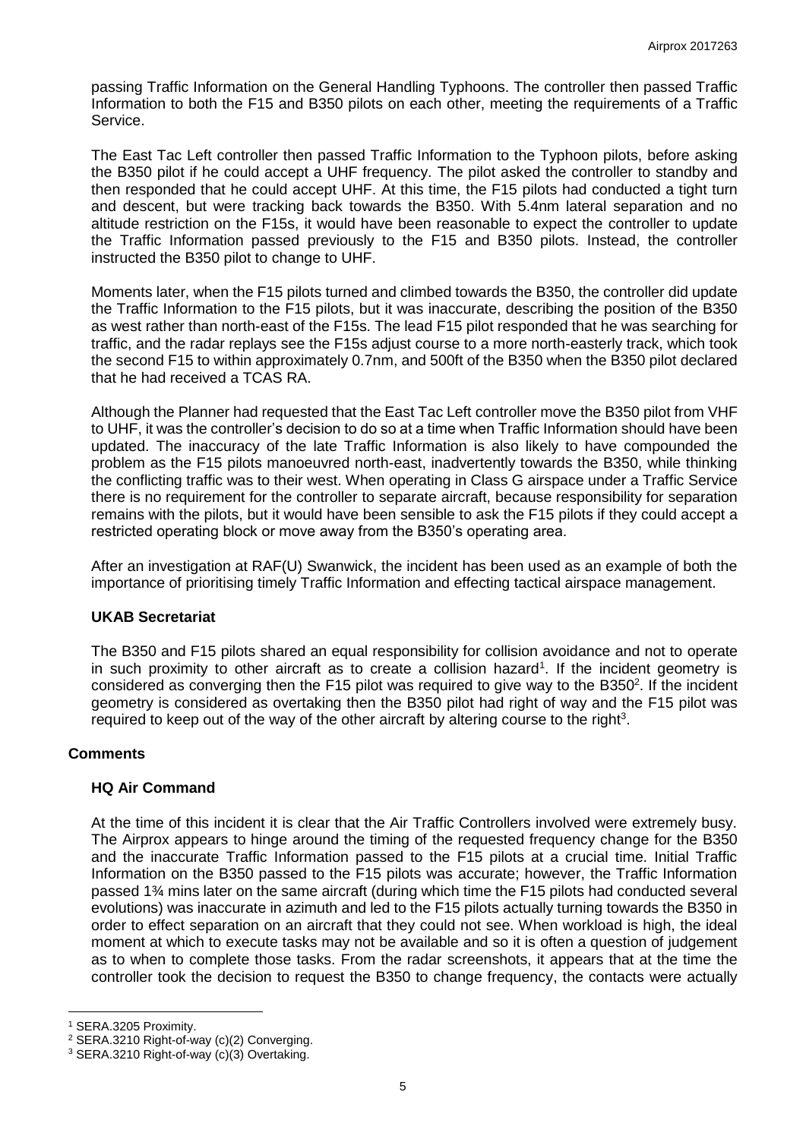passing Traffic Information on the General Handling Typhoons. The controller then passed Traffic Information to both the F15 and B350 pilots on each other, meeting the requirements of a Traffic Service.

The East Tac Left controller then passed Traffic Information to the Typhoon pilots, before asking the B350 pilot if he could accept a UHF frequency. The pilot asked the controller to standby and then responded that he could accept UHF. At this time, the F15 pilots had conducted a tight turn and descent, but were tracking back towards the B350. With 5.4nm lateral separation and no altitude restriction on the F15s, it would have been reasonable to expect the controller to update the Traffic Information passed previously to the F15 and B350 pilots. Instead, the controller instructed the B350 pilot to change to UHF.

Moments later, when the F15 pilots turned and climbed towards the B350, the controller did update the Traffic Information to the F15 pilots, but it was inaccurate, describing the position of the B350 as west rather than north-east of the F15s. The lead F15 pilot responded that he was searching for traffic, and the radar replays see the F15s adjust course to a more north-easterly track, which took the second F15 to within approximately 0.7nm, and 500ft of the B350 when the B350 pilot declared that he had received a TCAS RA.

Although the Planner had requested that the East Tac Left controller move the B350 pilot from VHF to UHF, it was the controller's decision to do so at a time when Traffic Information should have been updated. The inaccuracy of the late Traffic Information is also likely to have compounded the problem as the F15 pilots manoeuvred north-east, inadvertently towards the B350, while thinking the conflicting traffic was to their west. When operating in Class G airspace under a Traffic Service there is no requirement for the controller to separate aircraft, because responsibility for separation remains with the pilots, but it would have been sensible to ask the F15 pilots if they could accept a restricted operating block or move away from the B350's operating area.

After an investigation at RAF(U) Swanwick, the incident has been used as an example of both the importance of prioritising timely Traffic Information and effecting tactical airspace management.

## **UKAB Secretariat**

The B350 and F15 pilots shared an equal responsibility for collision avoidance and not to operate in such proximity to other aircraft as to create a collision hazard<sup>1</sup>. If the incident geometry is considered as converging then the F15 pilot was required to give way to the B350<sup>2</sup>. If the incident geometry is considered as overtaking then the B350 pilot had right of way and the F15 pilot was required to keep out of the way of the other aircraft by altering course to the right<sup>3</sup>.

## **Comments**

## **HQ Air Command**

At the time of this incident it is clear that the Air Traffic Controllers involved were extremely busy. The Airprox appears to hinge around the timing of the requested frequency change for the B350 and the inaccurate Traffic Information passed to the F15 pilots at a crucial time. Initial Traffic Information on the B350 passed to the F15 pilots was accurate; however, the Traffic Information passed 1¾ mins later on the same aircraft (during which time the F15 pilots had conducted several evolutions) was inaccurate in azimuth and led to the F15 pilots actually turning towards the B350 in order to effect separation on an aircraft that they could not see. When workload is high, the ideal moment at which to execute tasks may not be available and so it is often a question of judgement as to when to complete those tasks. From the radar screenshots, it appears that at the time the controller took the decision to request the B350 to change frequency, the contacts were actually

l <sup>1</sup> SERA.3205 Proximity.

<sup>2</sup> SERA.3210 Right-of-way (c)(2) Converging.

<sup>3</sup> SERA.3210 Right-of-way (c)(3) Overtaking.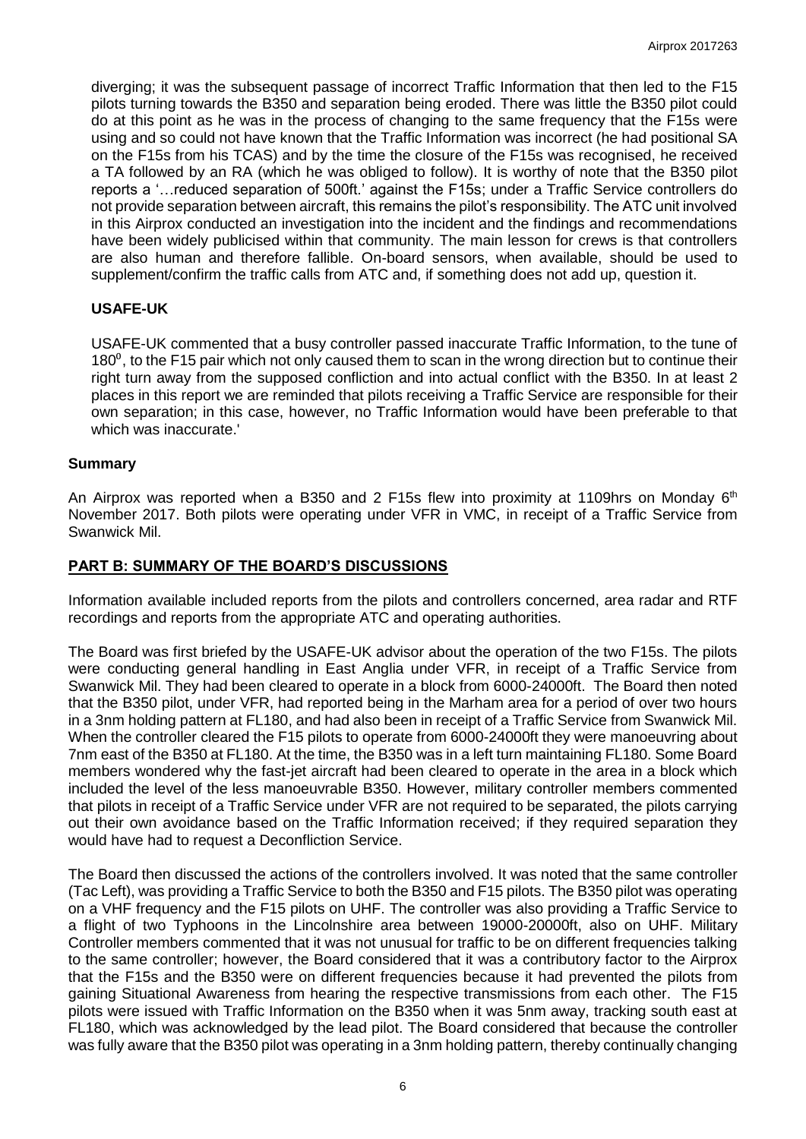diverging; it was the subsequent passage of incorrect Traffic Information that then led to the F15 pilots turning towards the B350 and separation being eroded. There was little the B350 pilot could do at this point as he was in the process of changing to the same frequency that the F15s were using and so could not have known that the Traffic Information was incorrect (he had positional SA on the F15s from his TCAS) and by the time the closure of the F15s was recognised, he received a TA followed by an RA (which he was obliged to follow). It is worthy of note that the B350 pilot reports a '…reduced separation of 500ft.' against the F15s; under a Traffic Service controllers do not provide separation between aircraft, this remains the pilot's responsibility. The ATC unit involved in this Airprox conducted an investigation into the incident and the findings and recommendations have been widely publicised within that community. The main lesson for crews is that controllers are also human and therefore fallible. On-board sensors, when available, should be used to supplement/confirm the traffic calls from ATC and, if something does not add up, question it.

## **USAFE-UK**

USAFE-UK commented that a busy controller passed inaccurate Traffic Information, to the tune of  $180^\circ$ , to the F15 pair which not only caused them to scan in the wrong direction but to continue their right turn away from the supposed confliction and into actual conflict with the B350. In at least 2 places in this report we are reminded that pilots receiving a Traffic Service are responsible for their own separation; in this case, however, no Traffic Information would have been preferable to that which was inaccurate.'

## **Summary**

An Airprox was reported when a B350 and 2 F15s flew into proximity at 1109hrs on Monday 6<sup>th</sup> November 2017. Both pilots were operating under VFR in VMC, in receipt of a Traffic Service from Swanwick Mil.

#### **PART B: SUMMARY OF THE BOARD'S DISCUSSIONS**

Information available included reports from the pilots and controllers concerned, area radar and RTF recordings and reports from the appropriate ATC and operating authorities.

The Board was first briefed by the USAFE-UK advisor about the operation of the two F15s. The pilots were conducting general handling in East Anglia under VFR, in receipt of a Traffic Service from Swanwick Mil. They had been cleared to operate in a block from 6000-24000ft. The Board then noted that the B350 pilot, under VFR, had reported being in the Marham area for a period of over two hours in a 3nm holding pattern at FL180, and had also been in receipt of a Traffic Service from Swanwick Mil. When the controller cleared the F15 pilots to operate from 6000-24000ft they were manoeuvring about 7nm east of the B350 at FL180. At the time, the B350 was in a left turn maintaining FL180. Some Board members wondered why the fast-jet aircraft had been cleared to operate in the area in a block which included the level of the less manoeuvrable B350. However, military controller members commented that pilots in receipt of a Traffic Service under VFR are not required to be separated, the pilots carrying out their own avoidance based on the Traffic Information received; if they required separation they would have had to request a Deconfliction Service.

The Board then discussed the actions of the controllers involved. It was noted that the same controller (Tac Left), was providing a Traffic Service to both the B350 and F15 pilots. The B350 pilot was operating on a VHF frequency and the F15 pilots on UHF. The controller was also providing a Traffic Service to a flight of two Typhoons in the Lincolnshire area between 19000-20000ft, also on UHF. Military Controller members commented that it was not unusual for traffic to be on different frequencies talking to the same controller; however, the Board considered that it was a contributory factor to the Airprox that the F15s and the B350 were on different frequencies because it had prevented the pilots from gaining Situational Awareness from hearing the respective transmissions from each other. The F15 pilots were issued with Traffic Information on the B350 when it was 5nm away, tracking south east at FL180, which was acknowledged by the lead pilot. The Board considered that because the controller was fully aware that the B350 pilot was operating in a 3nm holding pattern, thereby continually changing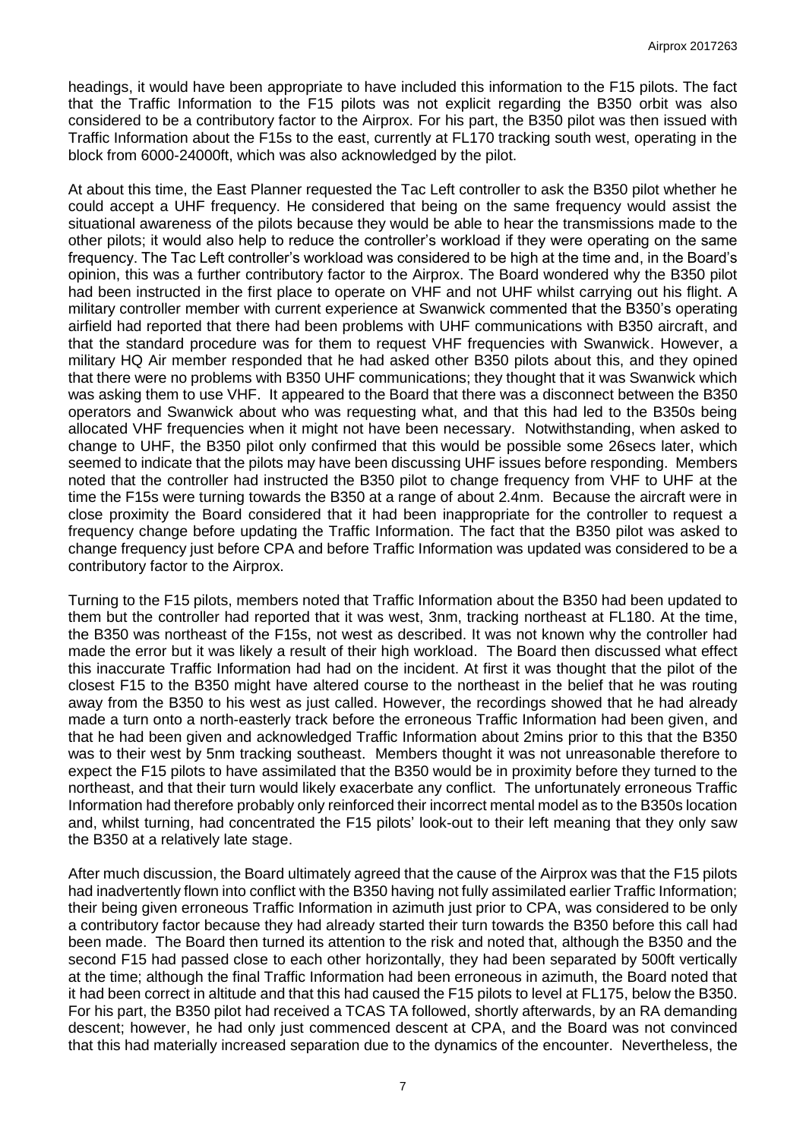headings, it would have been appropriate to have included this information to the F15 pilots. The fact that the Traffic Information to the F15 pilots was not explicit regarding the B350 orbit was also considered to be a contributory factor to the Airprox. For his part, the B350 pilot was then issued with Traffic Information about the F15s to the east, currently at FL170 tracking south west, operating in the block from 6000-24000ft, which was also acknowledged by the pilot.

At about this time, the East Planner requested the Tac Left controller to ask the B350 pilot whether he could accept a UHF frequency. He considered that being on the same frequency would assist the situational awareness of the pilots because they would be able to hear the transmissions made to the other pilots; it would also help to reduce the controller's workload if they were operating on the same frequency. The Tac Left controller's workload was considered to be high at the time and, in the Board's opinion, this was a further contributory factor to the Airprox. The Board wondered why the B350 pilot had been instructed in the first place to operate on VHF and not UHF whilst carrying out his flight. A military controller member with current experience at Swanwick commented that the B350's operating airfield had reported that there had been problems with UHF communications with B350 aircraft, and that the standard procedure was for them to request VHF frequencies with Swanwick. However, a military HQ Air member responded that he had asked other B350 pilots about this, and they opined that there were no problems with B350 UHF communications; they thought that it was Swanwick which was asking them to use VHF. It appeared to the Board that there was a disconnect between the B350 operators and Swanwick about who was requesting what, and that this had led to the B350s being allocated VHF frequencies when it might not have been necessary. Notwithstanding, when asked to change to UHF, the B350 pilot only confirmed that this would be possible some 26secs later, which seemed to indicate that the pilots may have been discussing UHF issues before responding. Members noted that the controller had instructed the B350 pilot to change frequency from VHF to UHF at the time the F15s were turning towards the B350 at a range of about 2.4nm. Because the aircraft were in close proximity the Board considered that it had been inappropriate for the controller to request a frequency change before updating the Traffic Information. The fact that the B350 pilot was asked to change frequency just before CPA and before Traffic Information was updated was considered to be a contributory factor to the Airprox.

Turning to the F15 pilots, members noted that Traffic Information about the B350 had been updated to them but the controller had reported that it was west, 3nm, tracking northeast at FL180. At the time, the B350 was northeast of the F15s, not west as described. It was not known why the controller had made the error but it was likely a result of their high workload. The Board then discussed what effect this inaccurate Traffic Information had had on the incident. At first it was thought that the pilot of the closest F15 to the B350 might have altered course to the northeast in the belief that he was routing away from the B350 to his west as just called. However, the recordings showed that he had already made a turn onto a north-easterly track before the erroneous Traffic Information had been given, and that he had been given and acknowledged Traffic Information about 2mins prior to this that the B350 was to their west by 5nm tracking southeast. Members thought it was not unreasonable therefore to expect the F15 pilots to have assimilated that the B350 would be in proximity before they turned to the northeast, and that their turn would likely exacerbate any conflict. The unfortunately erroneous Traffic Information had therefore probably only reinforced their incorrect mental model as to the B350s location and, whilst turning, had concentrated the F15 pilots' look-out to their left meaning that they only saw the B350 at a relatively late stage.

After much discussion, the Board ultimately agreed that the cause of the Airprox was that the F15 pilots had inadvertently flown into conflict with the B350 having not fully assimilated earlier Traffic Information; their being given erroneous Traffic Information in azimuth just prior to CPA, was considered to be only a contributory factor because they had already started their turn towards the B350 before this call had been made. The Board then turned its attention to the risk and noted that, although the B350 and the second F15 had passed close to each other horizontally, they had been separated by 500ft vertically at the time; although the final Traffic Information had been erroneous in azimuth, the Board noted that it had been correct in altitude and that this had caused the F15 pilots to level at FL175, below the B350. For his part, the B350 pilot had received a TCAS TA followed, shortly afterwards, by an RA demanding descent; however, he had only just commenced descent at CPA, and the Board was not convinced that this had materially increased separation due to the dynamics of the encounter. Nevertheless, the